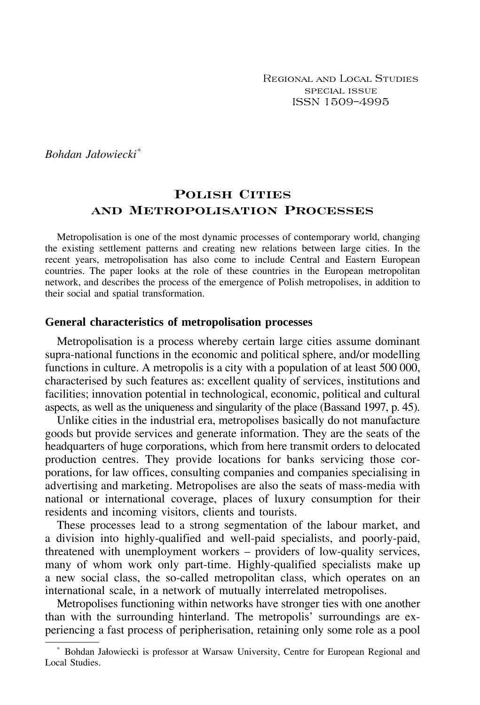Regional and Local Studies special issue ISSN 1509–4995

*Bohdan Jałowiecki\**

# **Polish Cities and Metropolisation Processes**

Metropolisation is one of the most dynamic processes of contemporary world, changing the existing settlement patterns and creating new relations between large cities. In the recent years, metropolisation has also come to include Central and Eastern European countries. The paper looks at the role of these countries in the European metropolitan network, and describes the process of the emergence of Polish metropolises, in addition to their social and spatial transformation.

#### **General characteristics of metropolisation processes**

Metropolisation is a process whereby certain large cities assume dominant supra-national functions in the economic and political sphere, and/or modelling functions in culture. A metropolis is a city with a population of at least 500 000, characterised by such features as: excellent quality of services, institutions and facilities; innovation potential in technological, economic, political and cultural aspects, as well as the uniqueness and singularity of the place (Bassand 1997, p. 45).

Unlike cities in the industrial era, metropolises basically do not manufacture goods but provide services and generate information. They are the seats of the headquarters of huge corporations, which from here transmit orders to delocated production centres. They provide locations for banks servicing those corporations, for law offices, consulting companies and companies specialising in advertising and marketing. Metropolises are also the seats of mass-media with national or international coverage, places of luxury consumption for their residents and incoming visitors, clients and tourists.

These processes lead to a strong segmentation of the labour market, and a division into highly-qualified and well-paid specialists, and poorly-paid, threatened with unemployment workers  $-$  providers of low-quality services, many of whom work only part-time. Highly-qualified specialists make up a new social class, the so-called metropolitan class, which operates on an international scale, in a network of mutually interrelated metropolises.

Metropolises functioning within networks have stronger ties with one another than with the surrounding hinterland. The metropolis' surroundings are experiencing a fast process of peripherisation, retaining only some role as a pool

<sup>\*</sup> Bohdan Jałowiecki is professor at Warsaw University, Centre for European Regional and Local Studies.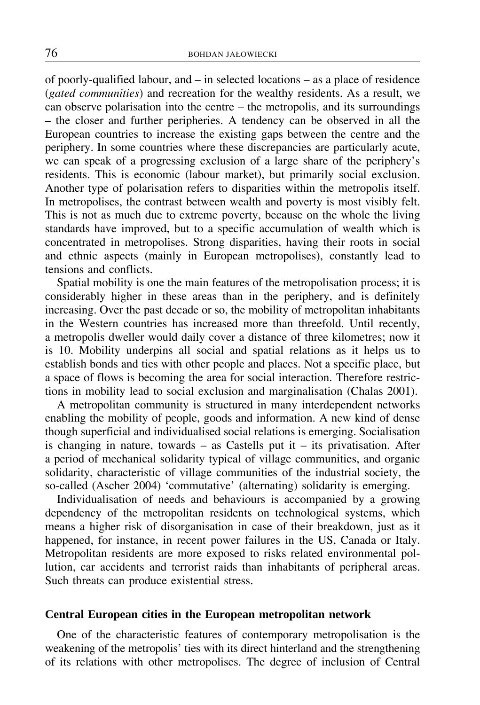of poorly-qualified labour, and  $-$  in selected locations  $-$  as a place of residence (*gated communities*) and recreation for the wealthy residents. As a result, we can observe polarisation into the centre  $-$  the metropolis, and its surroundings - the closer and further peripheries. A tendency can be observed in all the European countries to increase the existing gaps between the centre and the periphery. In some countries where these discrepancies are particularly acute, we can speak of a progressing exclusion of a large share of the periphery's residents. This is economic (labour market), but primarily social exclusion. Another type of polarisation refers to disparities within the metropolis itself. In metropolises, the contrast between wealth and poverty is most visibly felt. This is not as much due to extreme poverty, because on the whole the living standards have improved, but to a specific accumulation of wealth which is concentrated in metropolises. Strong disparities, having their roots in social and ethnic aspects (mainly in European metropolises), constantly lead to tensions and conflicts.

Spatial mobility is one the main features of the metropolisation process; it is considerably higher in these areas than in the periphery, and is definitely increasing. Over the past decade or so, the mobility of metropolitan inhabitants in the Western countries has increased more than threefold. Until recently, a metropolis dweller would daily cover a distance of three kilometres; now it is 10. Mobility underpins all social and spatial relations as it helps us to establish bonds and ties with other people and places. Not a specific place, but a space of flows is becoming the area for social interaction. Therefore restrictions in mobility lead to social exclusion and marginalisation (Chalas 2001).

A metropolitan community is structured in many interdependent networks enabling the mobility of people, goods and information. A new kind of dense though superficial and individualised social relations is emerging. Socialisation is changing in nature, towards  $-$  as Castells put it  $-$  its privatisation. After a period of mechanical solidarity typical of village communities, and organic solidarity, characteristic of village communities of the industrial society, the so-called (Ascher 2004) 'commutative' (alternating) solidarity is emerging.

Individualisation of needs and behaviours is accompanied by a growing dependency of the metropolitan residents on technological systems, which means a higher risk of disorganisation in case of their breakdown, just as it happened, for instance, in recent power failures in the US, Canada or Italy. Metropolitan residents are more exposed to risks related environmental pollution, car accidents and terrorist raids than inhabitants of peripheral areas. Such threats can produce existential stress.

### **Central European cities in the European metropolitan network**

One of the characteristic features of contemporary metropolisation is the weakening of the metropolis' ties with its direct hinterland and the strengthening of its relations with other metropolises. The degree of inclusion of Central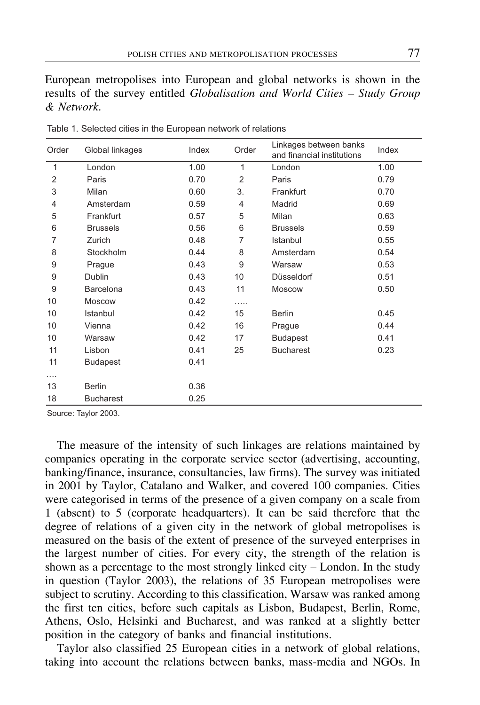European metropolises into European and global networks is shown in the results of the survey entitled *Globalisation and World Cities – Study Group & Network*.

| Order | Global linkages  | Index | Order | Linkages between banks<br>and financial institutions | Index |
|-------|------------------|-------|-------|------------------------------------------------------|-------|
| 1     | London           | 1.00  | 1     | London                                               | 1.00  |
| 2     | Paris            | 0.70  | 2     | Paris                                                | 0.79  |
| 3     | Milan            | 0.60  | 3.    | Frankfurt                                            | 0.70  |
| 4     | Amsterdam        | 0.59  | 4     | Madrid                                               | 0.69  |
| 5     | Frankfurt        | 0.57  | 5     | Milan                                                | 0.63  |
| 6     | <b>Brussels</b>  | 0.56  | 6     | <b>Brussels</b>                                      | 0.59  |
| 7     | Zurich           | 0.48  | 7     | Istanbul                                             | 0.55  |
| 8     | Stockholm        | 0.44  | 8     | Amsterdam                                            | 0.54  |
| 9     | Prague           | 0.43  | 9     | Warsaw                                               | 0.53  |
| 9     | Dublin           | 0.43  | 10    | Düsseldorf                                           | 0.51  |
| 9     | Barcelona        | 0.43  | 11    | Moscow                                               | 0.50  |
| 10    | <b>Moscow</b>    | 0.42  | .     |                                                      |       |
| 10    | Istanbul         | 0.42  | 15    | <b>Berlin</b>                                        | 0.45  |
| 10    | Vienna           | 0.42  | 16    | Prague                                               | 0.44  |
| 10    | Warsaw           | 0.42  | 17    | <b>Budapest</b>                                      | 0.41  |
| 11    | Lisbon           | 0.41  | 25    | <b>Bucharest</b>                                     | 0.23  |
| 11    | <b>Budapest</b>  | 0.41  |       |                                                      |       |
|       |                  |       |       |                                                      |       |
| 13    | <b>Berlin</b>    | 0.36  |       |                                                      |       |
| 18    | <b>Bucharest</b> | 0.25  |       |                                                      |       |

Table 1. Selected cities in the European network of relations

Source: Taylor 2003.

The measure of the intensity of such linkages are relations maintained by companies operating in the corporate service sector (advertising, accounting, banking/finance, insurance, consultancies, law firms). The survey was initiated in 2001 by Taylor, Catalano and Walker, and covered 100 companies. Cities were categorised in terms of the presence of a given company on a scale from 1 (absent) to 5 (corporate headquarters). It can be said therefore that the degree of relations of a given city in the network of global metropolises is measured on the basis of the extent of presence of the surveyed enterprises in the largest number of cities. For every city, the strength of the relation is shown as a percentage to the most strongly linked city  $-$  London. In the study in question (Taylor 2003), the relations of 35 European metropolises were subject to scrutiny. According to this classification, Warsaw was ranked among the first ten cities, before such capitals as Lisbon, Budapest, Berlin, Rome, Athens, Oslo, Helsinki and Bucharest, and was ranked at a slightly better position in the category of banks and financial institutions.

Taylor also classified 25 European cities in a network of global relations, taking into account the relations between banks, mass-media and NGOs. In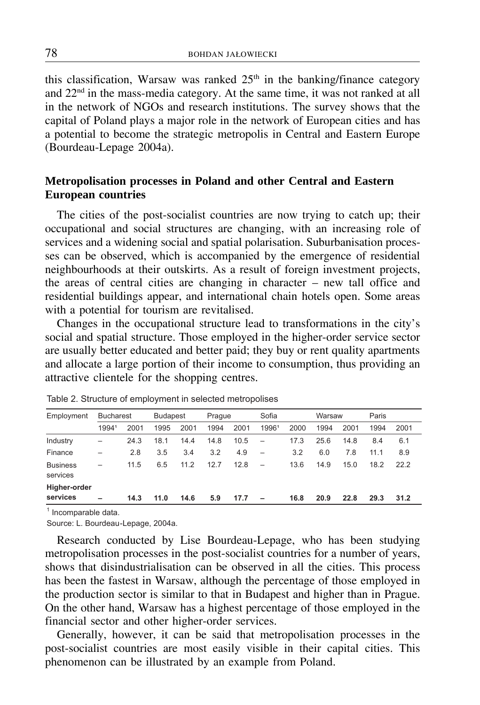this classification, Warsaw was ranked  $25<sup>th</sup>$  in the banking/finance category and 22nd in the mass-media category. At the same time, it was not ranked at all in the network of NGOs and research institutions. The survey shows that the capital of Poland plays a major role in the network of European cities and has a potential to become the strategic metropolis in Central and Eastern Europe (Bourdeau-Lepage 2004a).

## **Metropolisation processes in Poland and other Central and Eastern European countries**

The cities of the post-socialist countries are now trying to catch up; their occupational and social structures are changing, with an increasing role of services and a widening social and spatial polarisation. Suburbanisation processes can be observed, which is accompanied by the emergence of residential neighbourhoods at their outskirts. As a result of foreign investment projects, the areas of central cities are changing in character  $-$  new tall office and residential buildings appear, and international chain hotels open. Some areas with a potential for tourism are revitalised.

Changes in the occupational structure lead to transformations in the city's social and spatial structure. Those employed in the higher-order service sector are usually better educated and better paid; they buy or rent quality apartments and allocate a large portion of their income to consumption, thus providing an attractive clientele for the shopping centres.

| <b>Bucharest</b>         |      | <b>Budapest</b> |      | Prague |      | Sofia                    |      | Warsaw |      | Paris |      |
|--------------------------|------|-----------------|------|--------|------|--------------------------|------|--------|------|-------|------|
| 19941                    | 2001 | 1995            | 2001 | 1994   | 2001 | 19961                    | 2000 | 1994   | 2001 | 1994  | 2001 |
| -                        | 24.3 | 18.1            | 14.4 | 14.8   | 10.5 | $\overline{\phantom{a}}$ | 17.3 | 25.6   | 14.8 | 8.4   | 6.1  |
| -                        | 2.8  | 3.5             | 3.4  | 3.2    | 4.9  | $\overline{\phantom{0}}$ | 3.2  | 6.0    | 7.8  | 11.1  | 8.9  |
| -                        | 11.5 | 6.5             | 11.2 | 12.7   | 12.8 |                          | 13.6 | 14.9   | 15.0 | 18.2  | 22.2 |
| $\overline{\phantom{0}}$ | 14.3 | 11.0            | 14.6 | 5.9    | 17.7 | -                        | 16.8 | 20.9   | 22.8 | 29.3  | 31.2 |
|                          |      |                 |      |        |      |                          |      |        |      |       |      |

Table 2. Structure of employment in selected metropolises

 $<sup>1</sup>$  Incomparable data.</sup>

Source: L. Bourdeau-Lepage, 2004a.

Research conducted by Lise Bourdeau-Lepage, who has been studying metropolisation processes in the post-socialist countries for a number of years, shows that disindustrialisation can be observed in all the cities. This process has been the fastest in Warsaw, although the percentage of those employed in the production sector is similar to that in Budapest and higher than in Prague. On the other hand, Warsaw has a highest percentage of those employed in the financial sector and other higher-order services.

Generally, however, it can be said that metropolisation processes in the post-socialist countries are most easily visible in their capital cities. This phenomenon can be illustrated by an example from Poland.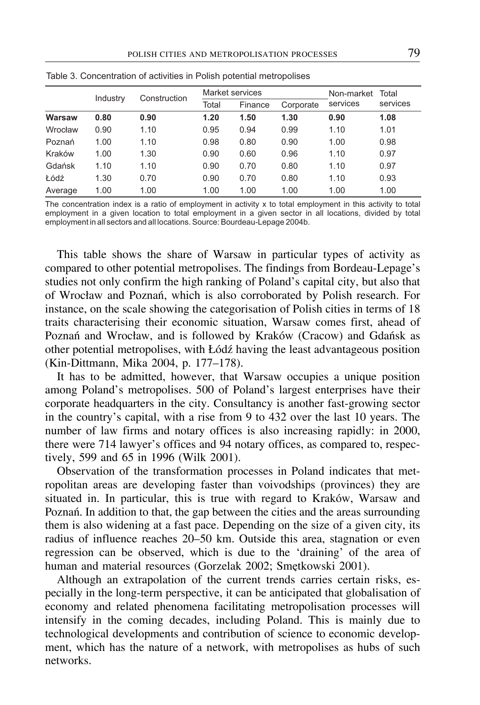|         | Industry | Construction |       | Market services | Non-market | Total    |          |
|---------|----------|--------------|-------|-----------------|------------|----------|----------|
|         |          |              | Total | Finance         | Corporate  | services | services |
| Warsaw  | 0.80     | 0.90         | 1.20  | 1.50            | 1.30       | 0.90     | 1.08     |
| Wrocław | 0.90     | 1.10         | 0.95  | 0.94            | 0.99       | 1.10     | 1.01     |
| Poznań  | 1.00     | 1.10         | 0.98  | 0.80            | 0.90       | 1.00     | 0.98     |
| Kraków  | 1.00     | 1.30         | 0.90  | 0.60            | 0.96       | 1.10     | 0.97     |
| Gdańsk  | 1.10     | 1.10         | 0.90  | 0.70            | 0.80       | 1.10     | 0.97     |
| Łódź    | 1.30     | 0.70         | 0.90  | 0.70            | 0.80       | 1.10     | 0.93     |
| Average | 1.00     | 1.00         | 1.00  | 1.00            | 1.00       | 1.00     | 1.00     |

Table 3. Concentration of activities in Polish potential metropolises

The concentration index is a ratio of employment in activity x to total employment in this activity to total employment in a given location to total employment in a given sector in all locations, divided by total employment in all sectors and all locations. Source: Bourdeau-Lepage 2004b.

This table shows the share of Warsaw in particular types of activity as compared to other potential metropolises. The findings from Bordeau-Lepage's studies not only confirm the high ranking of Poland's capital city, but also that of Wrocław and Poznań, which is also corroborated by Polish research. For instance, on the scale showing the categorisation of Polish cities in terms of 18 traits characterising their economic situation, Warsaw comes first, ahead of Poznań and Wrocław, and is followed by Kraków (Cracow) and Gdańsk as other potential metropolises, with Łódź having the least advantageous position (Kin-Dittmann, Mika 2004, p. 177–178).

It has to be admitted, however, that Warsaw occupies a unique position among Poland's metropolises. 500 of Poland's largest enterprises have their corporate headquarters in the city. Consultancy is another fast-growing sector in the country's capital, with a rise from 9 to 432 over the last 10 years. The number of law firms and notary offices is also increasing rapidly: in 2000, there were 714 lawyer's offices and 94 notary offices, as compared to, respectively, 599 and 65 in 1996 (Wilk 2001).

Observation of the transformation processes in Poland indicates that metropolitan areas are developing faster than voivodships (provinces) they are situated in. In particular, this is true with regard to Kraków, Warsaw and Poznań. In addition to that, the gap between the cities and the areas surrounding them is also widening at a fast pace. Depending on the size of a given city, its radius of influence reaches 20–50 km. Outside this area, stagnation or even regression can be observed, which is due to the 'draining' of the area of human and material resources (Gorzelak 2002; Smętkowski 2001).

Although an extrapolation of the current trends carries certain risks, especially in the long-term perspective, it can be anticipated that globalisation of economy and related phenomena facilitating metropolisation processes will intensify in the coming decades, including Poland. This is mainly due to technological developments and contribution of science to economic development, which has the nature of a network, with metropolises as hubs of such networks.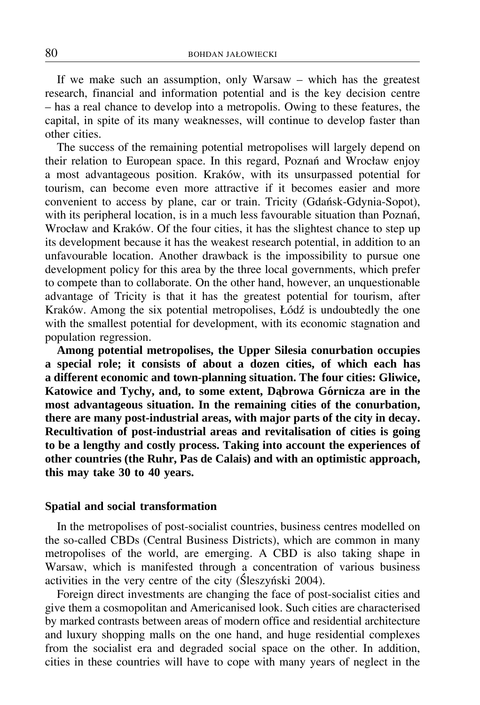If we make such an assumption, only Warsaw  $-$  which has the greatest research, financial and information potential and is the key decision centre  $h$  has a real chance to develop into a metropolis. Owing to these features, the capital, in spite of its many weaknesses, will continue to develop faster than other cities.

The success of the remaining potential metropolises will largely depend on their relation to European space. In this regard, Poznań and Wrocław enjoy a most advantageous position. Kraków, with its unsurpassed potential for tourism, can become even more attractive if it becomes easier and more convenient to access by plane, car or train. Tricity (Gdańsk-Gdynia-Sopot), with its peripheral location, is in a much less favourable situation than Poznań, Wrocław and Kraków. Of the four cities, it has the slightest chance to step up its development because it has the weakest research potential, in addition to an unfavourable location. Another drawback is the impossibility to pursue one development policy for this area by the three local governments, which prefer to compete than to collaborate. On the other hand, however, an unquestionable advantage of Tricity is that it has the greatest potential for tourism, after Kraków. Among the six potential metropolises, Łódź is undoubtedly the one with the smallest potential for development, with its economic stagnation and population regression.

**Among potential metropolises, the Upper Silesia conurbation occupies a special role; it consists of about a dozen cities, of which each has a different economic and town-planning situation. The four cities: Gliwice,** Katowice and Tychy, and, to some extent, Dabrowa Górnicza are in the **most advantageous situation. In the remaining cities of the conurbation, there are many post-industrial areas, with major parts of the city in decay. Recultivation of post-industrial areas and revitalisation of cities is going to be a lengthy and costly process. Taking into account the experiences of other countries (the Ruhr, Pas de Calais) and with an optimistic approach, this may take 30 to 40 years.**

### **Spatial and social transformation**

In the metropolises of post-socialist countries, business centres modelled on the so-called CBDs (Central Business Districts), which are common in many metropolises of the world, are emerging. A CBD is also taking shape in Warsaw, which is manifested through a concentration of various business activities in the very centre of the city (Śleszyński 2004).

Foreign direct investments are changing the face of post-socialist cities and give them a cosmopolitan and Americanised look. Such cities are characterised by marked contrasts between areas of modern office and residential architecture and luxury shopping malls on the one hand, and huge residential complexes from the socialist era and degraded social space on the other. In addition, cities in these countries will have to cope with many years of neglect in the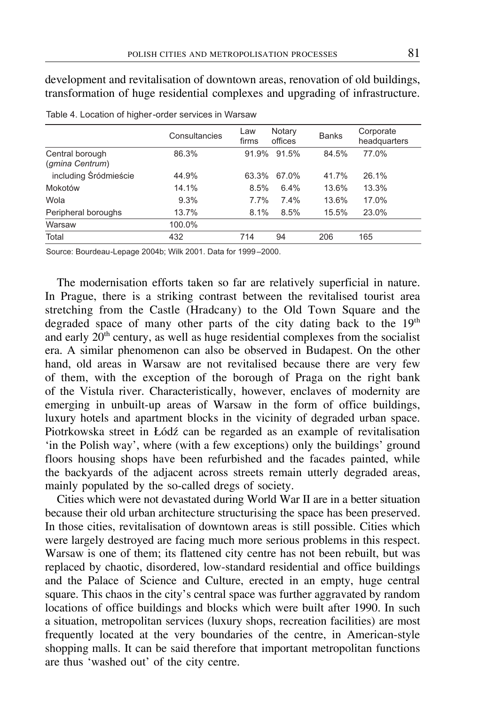development and revitalisation of downtown areas, renovation of old buildings, transformation of huge residential complexes and upgrading of infrastructure.

|                                    | Consultancies | Law<br>firms | Notary<br>offices | <b>Banks</b> | Corporate<br>headquarters |
|------------------------------------|---------------|--------------|-------------------|--------------|---------------------------|
| Central borough<br>(gmina Centrum) | 86.3%         | 91.9%        | 91.5%             | 84.5%        | 77.0%                     |
| including Śródmieście              | 44.9%         | 63.3%        | 67.0%             | 41.7%        | 26.1%                     |
| Mokotów                            | 14.1%         | 8.5%         | 6.4%              | 13.6%        | 13.3%                     |
| Wola                               | 9.3%          | 7.7%         | 7.4%              | 13.6%        | 17.0%                     |
| Peripheral boroughs                | 13.7%         | 8.1%         | 8.5%              | 15.5%        | 23.0%                     |
| Warsaw                             | 100.0%        |              |                   |              |                           |
| Total                              | 432           | 714          | 94                | 206          | 165                       |

Table 4. Location of higher-order services in Warsaw

Source: Bourdeau-Lepage 2004b; Wilk 2001. Data for 1999–2000.

The modernisation efforts taken so far are relatively superficial in nature. In Prague, there is a striking contrast between the revitalised tourist area stretching from the Castle (Hradcany) to the Old Town Square and the degraded space of many other parts of the city dating back to the 19<sup>th</sup> and early  $20<sup>th</sup>$  century, as well as huge residential complexes from the socialist era. A similar phenomenon can also be observed in Budapest. On the other hand, old areas in Warsaw are not revitalised because there are very few of them, with the exception of the borough of Praga on the right bank of the Vistula river. Characteristically, however, enclaves of modernity are emerging in unbuilt-up areas of Warsaw in the form of office buildings, luxury hotels and apartment blocks in the vicinity of degraded urban space. Piotrkowska street in Łódź can be regarded as an example of revitalisation 'in the Polish way', where (with a few exceptions) only the buildings' ground floors housing shops have been refurbished and the facades painted, while the backyards of the adjacent across streets remain utterly degraded areas, mainly populated by the so-called dregs of society.

Cities which were not devastated during World War II are in a better situation because their old urban architecture structurising the space has been preserved. In those cities, revitalisation of downtown areas is still possible. Cities which were largely destroyed are facing much more serious problems in this respect. Warsaw is one of them; its flattened city centre has not been rebuilt, but was replaced by chaotic, disordered, low-standard residential and office buildings and the Palace of Science and Culture, erected in an empty, huge central square. This chaos in the city's central space was further aggravated by random locations of office buildings and blocks which were built after 1990. In such a situation, metropolitan services (luxury shops, recreation facilities) are most frequently located at the very boundaries of the centre, in American-style shopping malls. It can be said therefore that important metropolitan functions are thus 'washed out' of the city centre.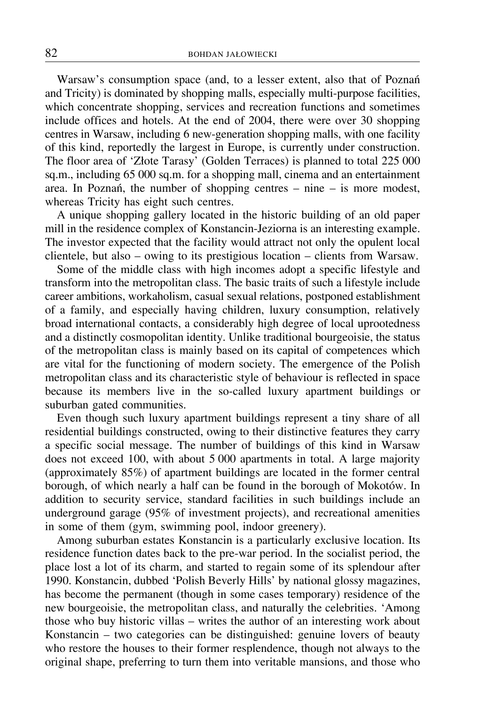Warsaw's consumption space (and, to a lesser extent, also that of Poznań and Tricity) is dominated by shopping malls, especially multi-purpose facilities, which concentrate shopping, services and recreation functions and sometimes include offices and hotels. At the end of 2004, there were over 30 shopping centres in Warsaw, including 6 new-generation shopping malls, with one facility of this kind, reportedly the largest in Europe, is currently under construction. The floor area of 'Złote Tarasy' (Golden Terraces) is planned to total 225 000 sq.m., including 65 000 sq.m. for a shopping mall, cinema and an entertainment area. In Poznań, the number of shopping centres  $-$  nine  $-$  is more modest, whereas Tricity has eight such centres.

A unique shopping gallery located in the historic building of an old paper mill in the residence complex of Konstancin-Jeziorna is an interesting example. The investor expected that the facility would attract not only the opulent local clientele, but also – owing to its prestigious location – clients from Warsaw.

Some of the middle class with high incomes adopt a specific lifestyle and transform into the metropolitan class. The basic traits of such a lifestyle include career ambitions, workaholism, casual sexual relations, postponed establishment of a family, and especially having children, luxury consumption, relatively broad international contacts, a considerably high degree of local uprootedness and a distinctly cosmopolitan identity. Unlike traditional bourgeoisie, the status of the metropolitan class is mainly based on its capital of competences which are vital for the functioning of modern society. The emergence of the Polish metropolitan class and its characteristic style of behaviour is reflected in space because its members live in the so-called luxury apartment buildings or suburban gated communities.

Even though such luxury apartment buildings represent a tiny share of all residential buildings constructed, owing to their distinctive features they carry a specific social message. The number of buildings of this kind in Warsaw does not exceed 100, with about 5 000 apartments in total. A large majority (approximately 85%) of apartment buildings are located in the former central borough, of which nearly a half can be found in the borough of Mokotów. In addition to security service, standard facilities in such buildings include an underground garage (95% of investment projects), and recreational amenities in some of them (gym, swimming pool, indoor greenery).

Among suburban estates Konstancin is a particularly exclusive location. Its residence function dates back to the pre-war period. In the socialist period, the place lost a lot of its charm, and started to regain some of its splendour after 1990. Konstancin, dubbed 'Polish Beverly Hills' by national glossy magazines, has become the permanent (though in some cases temporary) residence of the new bourgeoisie, the metropolitan class, and naturally the celebrities. 'Among those who buy historic villas  $-$  writes the author of an interesting work about Konstancin  $-$  two categories can be distinguished: genuine lovers of beauty who restore the houses to their former resplendence, though not always to the original shape, preferring to turn them into veritable mansions, and those who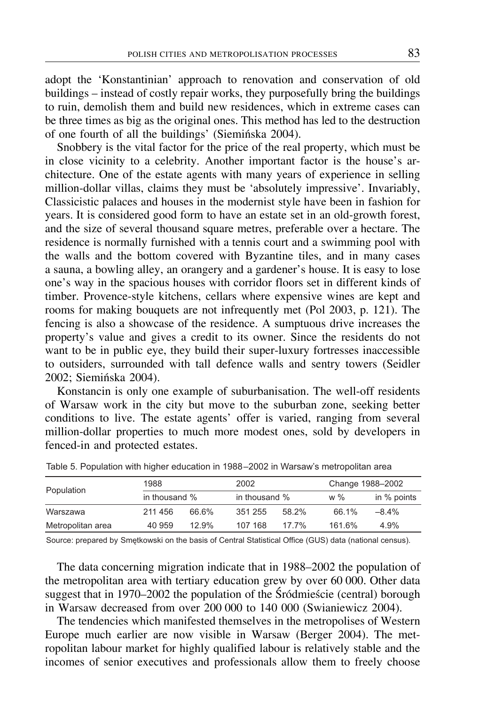adopt the 'Konstantinian' approach to renovation and conservation of old buildings – instead of costly repair works, they purposefully bring the buildings to ruin, demolish them and build new residences, which in extreme cases can be three times as big as the original ones. This method has led to the destruction of one fourth of all the buildings' (Siemińska 2004).

Snobbery is the vital factor for the price of the real property, which must be in close vicinity to a celebrity. Another important factor is the house's architecture. One of the estate agents with many years of experience in selling million-dollar villas, claims they must be 'absolutely impressive'. Invariably, Classicistic palaces and houses in the modernist style have been in fashion for years. It is considered good form to have an estate set in an old-growth forest, and the size of several thousand square metres, preferable over a hectare. The residence is normally furnished with a tennis court and a swimming pool with the walls and the bottom covered with Byzantine tiles, and in many cases a sauna, a bowling alley, an orangery and a gardener's house. It is easy to lose one's way in the spacious houses with corridor floors set in different kinds of timber. Provence-style kitchens, cellars where expensive wines are kept and rooms for making bouquets are not infrequently met (Pol 2003, p. 121). The fencing is also a showcase of the residence. A sumptuous drive increases the property's value and gives a credit to its owner. Since the residents do not want to be in public eye, they build their super-luxury fortresses inaccessible to outsiders, surrounded with tall defence walls and sentry towers (Seidler 2002; Siemińska 2004).

Konstancin is only one example of suburbanisation. The well-off residents of Warsaw work in the city but move to the suburban zone, seeking better conditions to live. The estate agents' offer is varied, ranging from several million-dollar properties to much more modest ones, sold by developers in fenced-in and protected estates.

| Population        | 1988<br>in thousand % |       | 2002    |               |        | Change 1988-2002 |  |
|-------------------|-----------------------|-------|---------|---------------|--------|------------------|--|
|                   |                       |       |         | in thousand % |        | in % points      |  |
| Warszawa          | 211 456               | 66.6% | 351 255 | 58.2%         | 66.1%  | $-8.4%$          |  |
| Metropolitan area | 40 959                | 12.9% | 107 168 | $17.7\%$      | 161.6% | 4.9%             |  |
|                   |                       |       |         |               |        |                  |  |

Table 5. Population with higher education in 1988–2002 in Warsaw's metropolitan area

Source: prepared by Smetkowski on the basis of Central Statistical Office (GUS) data (national census).

The data concerning migration indicate that in 1988–2002 the population of the metropolitan area with tertiary education grew by over 60 000. Other data suggest that in 1970–2002 the population of the Śródmieście (central) borough in Warsaw decreased from over 200 000 to 140 000 (Swianiewicz 2004).

The tendencies which manifested themselves in the metropolises of Western Europe much earlier are now visible in Warsaw (Berger 2004). The metropolitan labour market for highly qualified labour is relatively stable and the incomes of senior executives and professionals allow them to freely choose